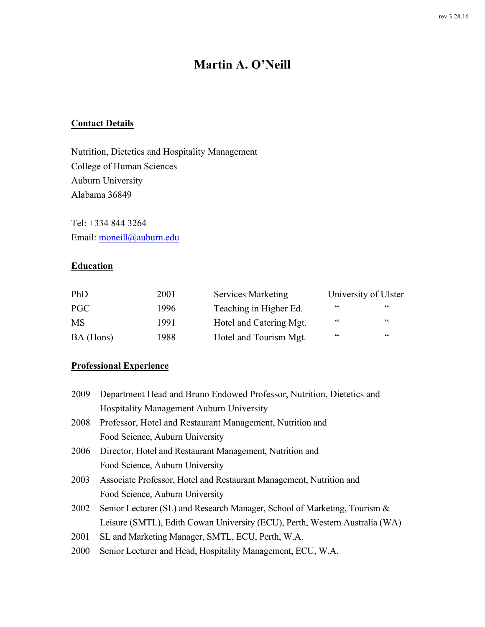# **Martin A. O'Neill**

## **Contact Details**

Nutrition, Dietetics and Hospitality Management College of Human Sciences Auburn University Alabama 36849

Tel: +334 844 3264 Email: moneill@auburn.edu

### **Education**

| PhD       | 2001 | <b>Services Marketing</b> |            | University of Ulster |
|-----------|------|---------------------------|------------|----------------------|
| PGC       | 1996 | Teaching in Higher Ed.    | $\epsilon$ | $\epsilon$           |
| <b>MS</b> | 1991 | Hotel and Catering Mgt.   | "          | $\epsilon$           |
| BA (Hons) | 1988 | Hotel and Tourism Mgt.    | $\epsilon$ | $\epsilon$           |

### **Professional Experience**

| 2009 | Department Head and Bruno Endowed Professor, Nutrition, Dietetics and       |
|------|-----------------------------------------------------------------------------|
|      | Hospitality Management Auburn University                                    |
| 2008 | Professor, Hotel and Restaurant Management, Nutrition and                   |
|      | Food Science, Auburn University                                             |
| 2006 | Director, Hotel and Restaurant Management, Nutrition and                    |
|      | Food Science, Auburn University                                             |
| 2003 | Associate Professor, Hotel and Restaurant Management, Nutrition and         |
|      | Food Science, Auburn University                                             |
| 2002 | Senior Lecturer (SL) and Research Manager, School of Marketing, Tourism &   |
|      | Leisure (SMTL), Edith Cowan University (ECU), Perth, Western Australia (WA) |
| 2001 | SL and Marketing Manager, SMTL, ECU, Perth, W.A.                            |
| 2000 | Senior Lecturer and Head, Hospitality Management, ECU, W.A.                 |
|      |                                                                             |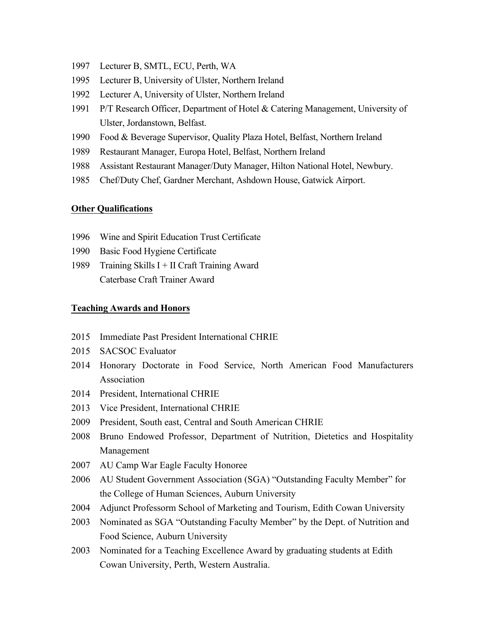- Lecturer B, SMTL, ECU, Perth, WA
- Lecturer B, University of Ulster, Northern Ireland
- Lecturer A, University of Ulster, Northern Ireland
- P/T Research Officer, Department of Hotel & Catering Management, University of Ulster, Jordanstown, Belfast.
- Food & Beverage Supervisor, Quality Plaza Hotel, Belfast, Northern Ireland
- Restaurant Manager, Europa Hotel, Belfast, Northern Ireland
- Assistant Restaurant Manager/Duty Manager, Hilton National Hotel, Newbury.
- Chef/Duty Chef, Gardner Merchant, Ashdown House, Gatwick Airport.

#### **Other Qualifications**

- Wine and Spirit Education Trust Certificate
- Basic Food Hygiene Certificate
- Training Skills I + II Craft Training Award Caterbase Craft Trainer Award

#### **Teaching Awards and Honors**

- Immediate Past President International CHRIE
- SACSOC Evaluator
- Honorary Doctorate in Food Service, North American Food Manufacturers Association
- President, International CHRIE
- Vice President, International CHRIE
- President, South east, Central and South American CHRIE
- Bruno Endowed Professor, Department of Nutrition, Dietetics and Hospitality Management
- AU Camp War Eagle Faculty Honoree
- AU Student Government Association (SGA) "Outstanding Faculty Member" for the College of Human Sciences, Auburn University
- Adjunct Professorm School of Marketing and Tourism, Edith Cowan University
- Nominated as SGA "Outstanding Faculty Member" by the Dept. of Nutrition and Food Science, Auburn University
- Nominated for a Teaching Excellence Award by graduating students at Edith Cowan University, Perth, Western Australia.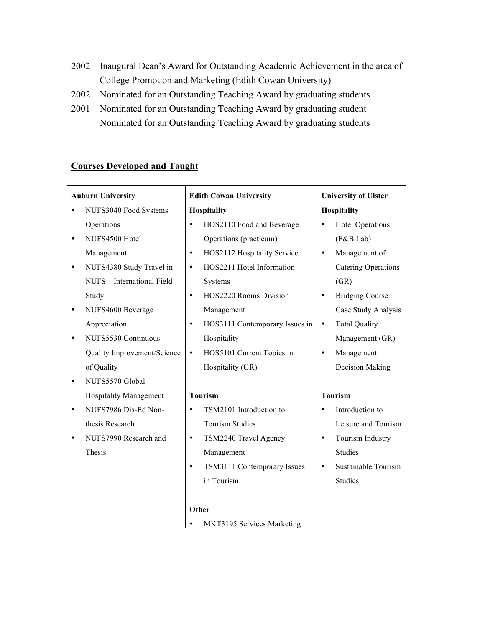- 2002 Inaugural Dean's Award for Outstanding Academic Achievement in the area of College Promotion and Marketing (Edith Cowan University)
- 2002 Nominated for an Outstanding Teaching Award by graduating students
- 2001 Nominated for an Outstanding Teaching Award by graduating student Nominated for an Outstanding Teaching Award by graduating students

### **Courses Developed and Taught**

| <b>Auburn University</b> |                               |           | <b>Edith Cowan University</b>  |           | <b>University of Ulster</b> |
|--------------------------|-------------------------------|-----------|--------------------------------|-----------|-----------------------------|
| NUFS3040 Food Systems    |                               |           | Hospitality                    |           | Hospitality                 |
|                          | Operations                    | $\bullet$ | HOS2110 Food and Beverage      | $\bullet$ | <b>Hotel Operations</b>     |
| $\bullet$                | NUFS4500 Hotel                |           | Operations (practicum)         |           | (F&B Lab)                   |
|                          | Management                    | $\bullet$ | HOS2112 Hospitality Service    | $\bullet$ | Management of               |
| ٠                        | NUFS4380 Study Travel in      | $\bullet$ | HOS2211 Hotel Information      |           | <b>Catering Operations</b>  |
|                          | NUFS - International Field    |           | Systems                        |           | (GR)                        |
|                          | Study                         | $\bullet$ | HOS2220 Rooms Division         | $\bullet$ | Bridging Course -           |
| ٠                        | NUFS4600 Beverage             |           | Management                     |           | Case Study Analysis         |
|                          | Appreciation                  | ٠         | HOS3111 Contemporary Issues in | $\bullet$ | <b>Total Quality</b>        |
| ٠                        | NUFS5530 Continuous           |           | Hospitality                    |           | Management (GR)             |
|                          | Quality Improvement/Science   | $\bullet$ | HOS5101 Current Topics in      | $\bullet$ | Management                  |
|                          | of Quality                    |           | Hospitality (GR)               |           | Decision Making             |
| ٠                        | NUFS5570 Global               |           |                                |           |                             |
|                          | <b>Hospitality Management</b> |           | <b>Tourism</b>                 |           | <b>Tourism</b>              |
| ٠                        | NUFS7986 Dis-Ed Non-          | $\bullet$ | TSM2101 Introduction to        | $\bullet$ | Introduction to             |
|                          | thesis Research               |           | <b>Tourism Studies</b>         |           | Leisure and Tourism         |
| ٠                        | NUFS7990 Research and         | $\bullet$ | TSM2240 Travel Agency          | $\bullet$ | Tourism Industry            |
|                          | Thesis                        |           | Management                     |           | <b>Studies</b>              |
|                          |                               | $\bullet$ | TSM3111 Contemporary Issues    | $\bullet$ | Sustainable Tourism         |
|                          |                               |           | in Tourism                     |           | <b>Studies</b>              |
|                          |                               |           |                                |           |                             |
|                          |                               | Other     |                                |           |                             |
|                          |                               | ٠         | MKT3195 Services Marketing     |           |                             |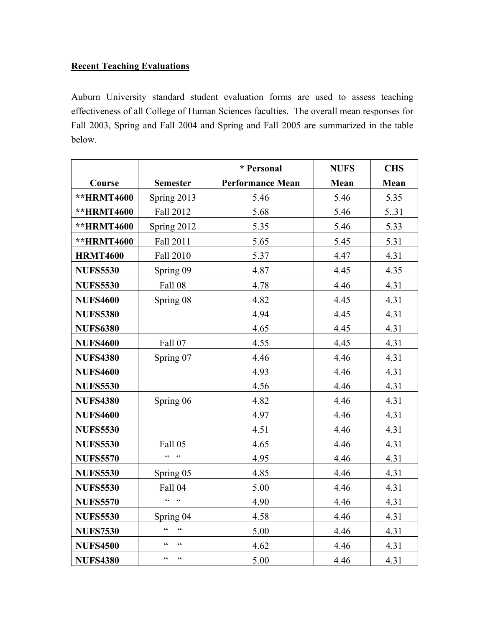### **Recent Teaching Evaluations**

Auburn University standard student evaluation forms are used to assess teaching effectiveness of all College of Human Sciences faculties. The overall mean responses for Fall 2003, Spring and Fall 2004 and Spring and Fall 2005 are summarized in the table below.

|                 |                          | * Personal              | <b>NUFS</b> | <b>CHS</b> |
|-----------------|--------------------------|-------------------------|-------------|------------|
| Course          | <b>Semester</b>          | <b>Performance Mean</b> | Mean        | Mean       |
| **HRMT4600      | Spring 2013              | 5.46                    | 5.46        | 5.35       |
| **HRMT4600      | Fall 2012                | 5.68                    | 5.46        | 5.31       |
| **HRMT4600      | Spring 2012              | 5.35                    | 5.46        | 5.33       |
| **HRMT4600      | Fall 2011                | 5.65                    | 5.45        | 5.31       |
| <b>HRMT4600</b> | Fall 2010                | 5.37                    | 4.47        | 4.31       |
| <b>NUFS5530</b> | Spring 09                | 4.87                    | 4.45        | 4.35       |
| <b>NUFS5530</b> | <b>Fall 08</b>           | 4.78                    | 4.46        | 4.31       |
| <b>NUFS4600</b> | Spring 08                | 4.82                    | 4.45        | 4.31       |
| <b>NUFS5380</b> |                          | 4.94                    | 4.45        | 4.31       |
| <b>NUFS6380</b> |                          | 4.65                    | 4.45        | 4.31       |
| <b>NUFS4600</b> | Fall 07                  | 4.55                    | 4.45        | 4.31       |
| <b>NUFS4380</b> | Spring 07                | 4.46                    | 4.46        | 4.31       |
| <b>NUFS4600</b> |                          | 4.93                    | 4.46        | 4.31       |
| <b>NUFS5530</b> |                          | 4.56                    | 4.46        | 4.31       |
| <b>NUFS4380</b> | Spring 06                | 4.82                    | 4.46        | 4.31       |
| <b>NUFS4600</b> |                          | 4.97                    | 4.46        | 4.31       |
| <b>NUFS5530</b> |                          | 4.51                    | 4.46        | 4.31       |
| <b>NUFS5530</b> | <b>Fall 05</b>           | 4.65                    | 4.46        | 4.31       |
| <b>NUFS5570</b> | $\epsilon$<br>$\epsilon$ | 4.95                    | 4.46        | 4.31       |
| <b>NUFS5530</b> | Spring 05                | 4.85                    | 4.46        | 4.31       |
| <b>NUFS5530</b> | Fall 04                  | 5.00                    | 4.46        | 4.31       |
| <b>NUFS5570</b> | $cc = cc$                | 4.90                    | 4.46        | 4.31       |
| <b>NUFS5530</b> | Spring 04                | 4.58                    | 4.46        | 4.31       |
| <b>NUFS7530</b> | $\epsilon$<br>$\epsilon$ | 5.00                    | 4.46        | 4.31       |
| <b>NUFS4500</b> | $\epsilon$<br>$\epsilon$ | 4.62                    | 4.46        | 4.31       |
| <b>NUFS4380</b> | $\epsilon$<br>$\epsilon$ | 5.00                    | 4.46        | 4.31       |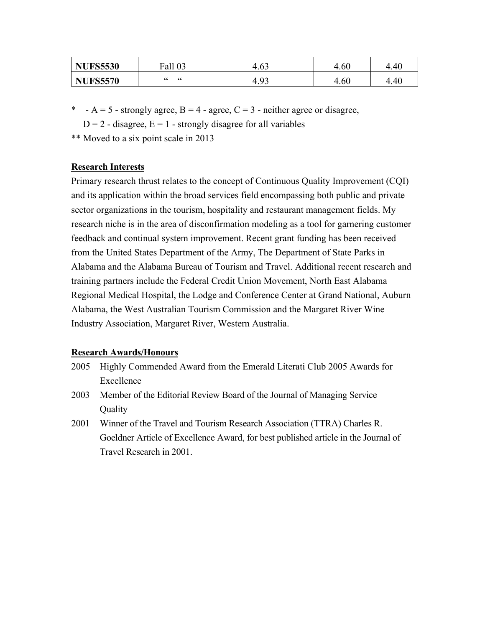| <b>NUFS5530</b> | Fall 03         | "<br>t.VJ       | 4.60 | 4.40<br>4 |
|-----------------|-----------------|-----------------|------|-----------|
| <b>NUFS5570</b> | $\epsilon$<br>" | u<br>4<br>t. JJ | 4.60 | 4.40<br>4 |

- \* A = 5 strongly agree, B = 4 agree, C = 3 neither agree or disagree,
	- $D = 2$  disagree,  $E = 1$  strongly disagree for all variables
- \*\* Moved to a six point scale in 2013

### **Research Interests**

Primary research thrust relates to the concept of Continuous Quality Improvement (CQI) and its application within the broad services field encompassing both public and private sector organizations in the tourism, hospitality and restaurant management fields. My research niche is in the area of disconfirmation modeling as a tool for garnering customer feedback and continual system improvement. Recent grant funding has been received from the United States Department of the Army, The Department of State Parks in Alabama and the Alabama Bureau of Tourism and Travel. Additional recent research and training partners include the Federal Credit Union Movement, North East Alabama Regional Medical Hospital, the Lodge and Conference Center at Grand National, Auburn Alabama, the West Australian Tourism Commission and the Margaret River Wine Industry Association, Margaret River, Western Australia.

### **Research Awards/Honours**

- 2005 Highly Commended Award from the Emerald Literati Club 2005 Awards for Excellence
- 2003 Member of the Editorial Review Board of the Journal of Managing Service **Ouality**
- 2001 Winner of the Travel and Tourism Research Association (TTRA) Charles R. Goeldner Article of Excellence Award, for best published article in the Journal of Travel Research in 2001.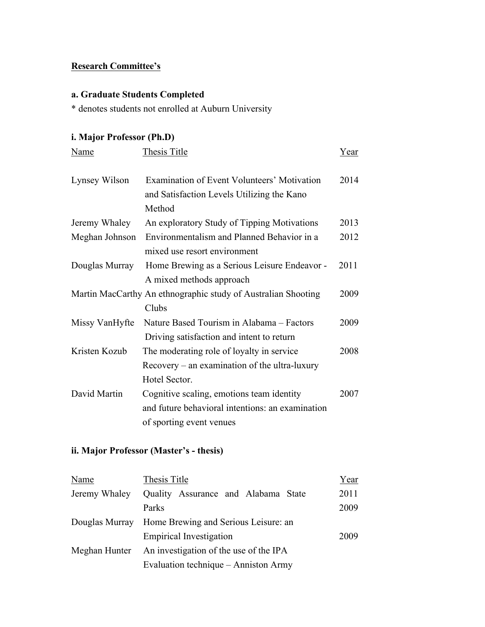## **Research Committee's**

## **a. Graduate Students Completed**

\* denotes students not enrolled at Auburn University

## **i. Major Professor (Ph.D)**

| Name           | Thesis Title                                                                                                              | Year |
|----------------|---------------------------------------------------------------------------------------------------------------------------|------|
| Lynsey Wilson  | Examination of Event Volunteers' Motivation<br>and Satisfaction Levels Utilizing the Kano<br>Method                       | 2014 |
| Jeremy Whaley  | An exploratory Study of Tipping Motivations                                                                               | 2013 |
| Meghan Johnson | Environmentalism and Planned Behavior in a<br>mixed use resort environment                                                | 2012 |
| Douglas Murray | Home Brewing as a Serious Leisure Endeavor -<br>A mixed methods approach                                                  | 2011 |
|                | Martin MacCarthy An ethnographic study of Australian Shooting<br>Clubs                                                    | 2009 |
| Missy VanHyfte | Nature Based Tourism in Alabama - Factors<br>Driving satisfaction and intent to return                                    | 2009 |
| Kristen Kozub  | The moderating role of loyalty in service<br>$Recovery - an examination of the ultra-luxury$<br>Hotel Sector.             | 2008 |
| David Martin   | Cognitive scaling, emotions team identity<br>and future behavioral intentions: an examination<br>of sporting event venues | 2007 |

## **ii. Major Professor (Master's - thesis)**

| Name          | Thesis Title                                        | Year |
|---------------|-----------------------------------------------------|------|
| Jeremy Whaley | Quality Assurance and Alabama State                 | 2011 |
|               | Parks                                               | 2009 |
|               | Douglas Murray Home Brewing and Serious Leisure: an |      |
|               | <b>Empirical Investigation</b>                      | 2009 |
| Meghan Hunter | An investigation of the use of the IPA              |      |
|               | Evaluation technique – Anniston Army                |      |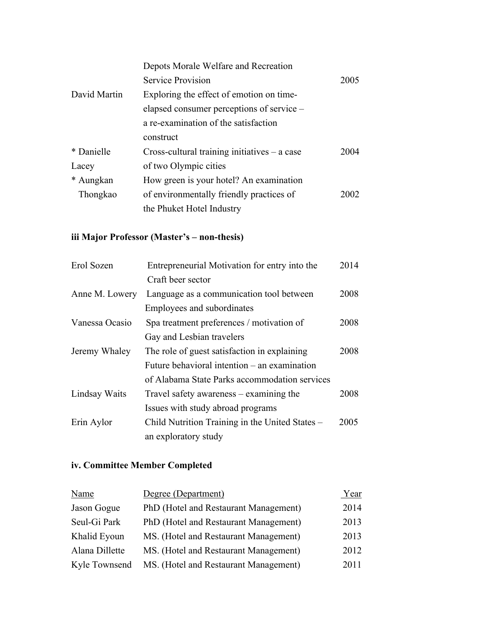|              | Depots Morale Welfare and Recreation            |      |
|--------------|-------------------------------------------------|------|
|              | <b>Service Provision</b>                        | 2005 |
| David Martin | Exploring the effect of emotion on time-        |      |
|              | elapsed consumer perceptions of service –       |      |
|              | a re-examination of the satisfaction            |      |
|              | construct                                       |      |
| * Danielle   | $Cross$ -cultural training initiatives – a case | 2004 |
| Lacey        | of two Olympic cities                           |      |
| * Aungkan    | How green is your hotel? An examination         |      |
| Thongkao     | of environmentally friendly practices of        | 2002 |
|              | the Phuket Hotel Industry                       |      |

# **iii Major Professor (Master's – non-thesis)**

| Erol Sozen     | Entrepreneurial Motivation for entry into the   | 2014 |
|----------------|-------------------------------------------------|------|
|                | Craft beer sector                               |      |
| Anne M. Lowery | Language as a communication tool between        | 2008 |
|                | Employees and subordinates                      |      |
| Vanessa Ocasio | Spa treatment preferences / motivation of       | 2008 |
|                | Gay and Lesbian travelers                       |      |
| Jeremy Whaley  | The role of guest satisfaction in explaining    | 2008 |
|                | Future behavioral intention – an examination    |      |
|                | of Alabama State Parks accommodation services   |      |
| Lindsay Waits  | Travel safety awareness – examining the         | 2008 |
|                | Issues with study abroad programs               |      |
| Erin Aylor     | Child Nutrition Training in the United States – | 2005 |
|                | an exploratory study                            |      |

# **iv. Committee Member Completed**

| Name           | Degree (Department)                   | Year |
|----------------|---------------------------------------|------|
| Jason Gogue    | PhD (Hotel and Restaurant Management) | 2014 |
| Seul-Gi Park   | PhD (Hotel and Restaurant Management) | 2013 |
| Khalid Eyoun   | MS. (Hotel and Restaurant Management) | 2013 |
| Alana Dillette | MS. (Hotel and Restaurant Management) | 2012 |
| Kyle Townsend  | MS. (Hotel and Restaurant Management) | 2011 |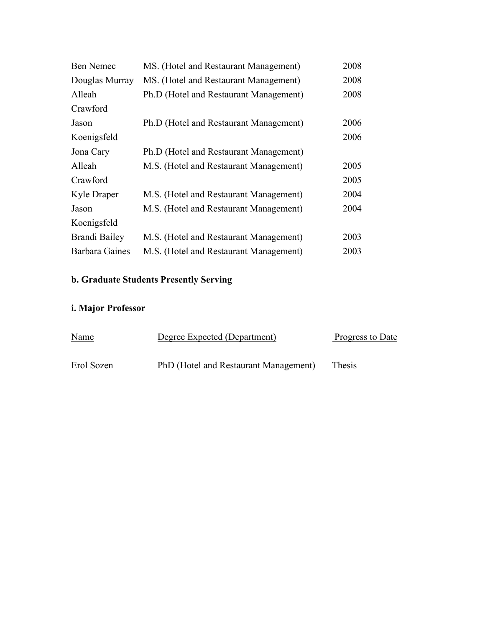| <b>Ben Nemec</b>      | MS. (Hotel and Restaurant Management)  | 2008 |
|-----------------------|----------------------------------------|------|
| Douglas Murray        | MS. (Hotel and Restaurant Management)  | 2008 |
| Alleah                | Ph.D (Hotel and Restaurant Management) | 2008 |
| Crawford              |                                        |      |
| Jason                 | Ph.D (Hotel and Restaurant Management) | 2006 |
| Koenigsfeld           |                                        | 2006 |
| Jona Cary             | Ph.D (Hotel and Restaurant Management) |      |
| Alleah                | M.S. (Hotel and Restaurant Management) | 2005 |
| Crawford              |                                        | 2005 |
| Kyle Draper           | M.S. (Hotel and Restaurant Management) | 2004 |
| Jason                 | M.S. (Hotel and Restaurant Management) | 2004 |
| Koenigsfeld           |                                        |      |
| Brandi Bailey         | M.S. (Hotel and Restaurant Management) | 2003 |
| <b>Barbara Gaines</b> | M.S. (Hotel and Restaurant Management) | 2003 |

# **b. Graduate Students Presently Serving**

# **i. Major Professor**

| <b>Name</b> | Degree Expected (Department)          | Progress to Date |
|-------------|---------------------------------------|------------------|
| Erol Sozen  | PhD (Hotel and Restaurant Management) | <b>Thesis</b>    |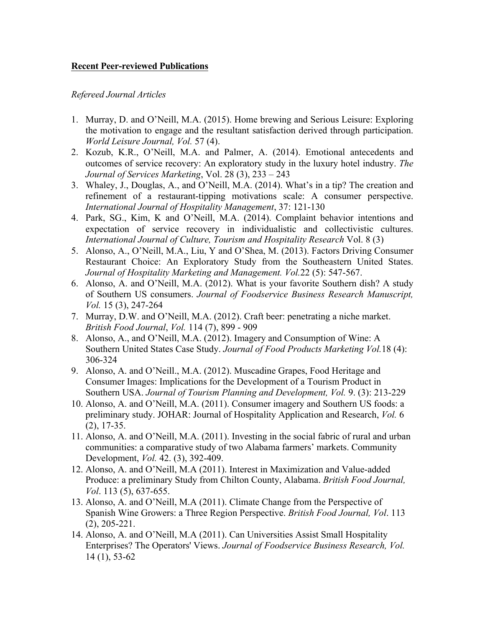### **Recent Peer-reviewed Publications**

#### *Refereed Journal Articles*

- 1. Murray, D. and O'Neill, M.A. (2015). Home brewing and Serious Leisure: Exploring the motivation to engage and the resultant satisfaction derived through participation. *World Leisure Journal, Vol.* 57 (4).
- 2. Kozub, K.R., O'Neill, M.A. and Palmer, A. (2014). Emotional antecedents and outcomes of service recovery: An exploratory study in the luxury hotel industry. *The Journal of Services Marketing*, Vol. 28 (3), 233 – 243
- 3. Whaley, J., Douglas, A., and O'Neill, M.A. (2014). What's in a tip? The creation and refinement of a restaurant-tipping motivations scale: A consumer perspective. *International Journal of Hospitality Management*, 37: 121-130
- 4. Park, SG., Kim, K and O'Neill, M.A. (2014). Complaint behavior intentions and expectation of service recovery in individualistic and collectivistic cultures. *International Journal of Culture, Tourism and Hospitality Research* Vol. 8 (3)
- 5. Alonso, A., O'Neill, M.A., Liu, Y and O'Shea, M. (2013). Factors Driving Consumer Restaurant Choice: An Exploratory Study from the Southeastern United States. *Journal of Hospitality Marketing and Management. Vol.*22 (5): 547-567.
- 6. Alonso, A. and O'Neill, M.A. (2012). What is your favorite Southern dish? A study of Southern US consumers. *Journal of Foodservice Business Research Manuscript, Vol.* 15 (3), 247-264
- 7. Murray, D.W. and O'Neill, M.A. (2012). Craft beer: penetrating a niche market. *British Food Journal*, *Vol.* 114 (7), 899 - 909
- 8. Alonso, A., and O'Neill, M.A. (2012). Imagery and Consumption of Wine: A Southern United States Case Study. *Journal of Food Products Marketing Vol.*18 (4): 306-324
- 9. Alonso, A. and O'Neill., M.A. (2012). Muscadine Grapes, Food Heritage and Consumer Images: Implications for the Development of a Tourism Product in Southern USA. *Journal of Tourism Planning and Development, Vol.* 9. (3): 213-229
- 10. Alonso, A. and O'Neill, M.A. (2011). Consumer imagery and Southern US foods: a preliminary study. JOHAR: Journal of Hospitality Application and Research, *Vol.* 6 (2), 17-35.
- 11. Alonso, A. and O'Neill, M.A. (2011). Investing in the social fabric of rural and urban communities: a comparative study of two Alabama farmers' markets. Community Development, *Vol.* 42. (3), 392-409.
- 12. Alonso, A. and O'Neill, M.A (2011). Interest in Maximization and Value-added Produce: a preliminary Study from Chilton County, Alabama. *British Food Journal, Vol*. 113 (5), 637-655.
- 13. Alonso, A. and O'Neill, M.A (2011). Climate Change from the Perspective of Spanish Wine Growers: a Three Region Perspective. *British Food Journal, Vol*. 113 (2), 205-221.
- 14. Alonso, A. and O'Neill, M.A (2011). Can Universities Assist Small Hospitality Enterprises? The Operators' Views. *Journal of Foodservice Business Research, Vol.* 14 (1), 53-62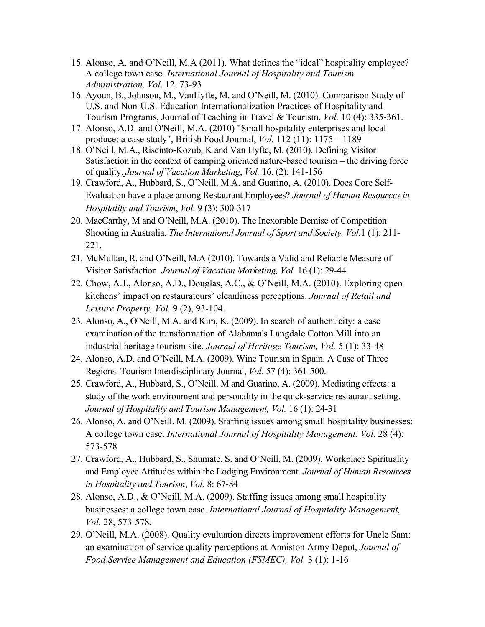- 15. Alonso, A. and O'Neill, M.A (2011). What defines the "ideal" hospitality employee? A college town case*. International Journal of Hospitality and Tourism Administration, Vol*. 12, 73-93
- 16. Ayoun, B., Johnson, M., VanHyfte, M. and O'Neill, M. (2010). Comparison Study of U.S. and Non-U.S. Education Internationalization Practices of Hospitality and Tourism Programs, Journal of Teaching in Travel & Tourism, *Vol.* 10 (4): 335-361.
- 17. Alonso, A.D. and O'Neill, M.A. (2010) "Small hospitality enterprises and local produce: a case study", British Food Journal, *Vol.* 112 (11): 1175 – 1189
- 18. O'Neill, M.A., Riscinto-Kozub, K and Van Hyfte, M. (2010). Defining Visitor Satisfaction in the context of camping oriented nature-based tourism – the driving force of quality. *Journal of Vacation Marketing*, *Vol.* 16. (2): 141-156
- 19. Crawford, A., Hubbard, S., O'Neill. M.A. and Guarino, A. (2010). Does Core Self-Evaluation have a place among Restaurant Employees? *Journal of Human Resources in Hospitality and Tourism*, *Vol.* 9 (3): 300-317
- 20. MacCarthy, M and O'Neill, M.A. (2010). The Inexorable Demise of Competition Shooting in Australia. *The International Journal of Sport and Society, Vol.*1 (1): 211- 221.
- 21. McMullan, R. and O'Neill, M.A (2010). Towards a Valid and Reliable Measure of Visitor Satisfaction. *Journal of Vacation Marketing, Vol.* 16 (1): 29-44
- 22. Chow, A.J., Alonso, A.D., Douglas, A.C., & O'Neill, M.A. (2010). Exploring open kitchens' impact on restaurateurs' cleanliness perceptions. *Journal of Retail and Leisure Property, Vol.* 9 (2), 93-104.
- 23. Alonso, A., O'Neill, M.A. and Kim, K. (2009). In search of authenticity: a case examination of the transformation of Alabama's Langdale Cotton Mill into an industrial heritage tourism site. *Journal of Heritage Tourism, Vol.* 5 (1): 33-48
- 24. Alonso, A.D. and O'Neill, M.A. (2009). Wine Tourism in Spain. A Case of Three Regions. Tourism Interdisciplinary Journal, *Vol.* 57 (4): 361-500.
- 25. Crawford, A., Hubbard, S., O'Neill. M and Guarino, A. (2009). Mediating effects: a study of the work environment and personality in the quick-service restaurant setting. *Journal of Hospitality and Tourism Management, Vol.* 16 (1): 24-31
- 26. Alonso, A. and O'Neill. M. (2009). Staffing issues among small hospitality businesses: A college town case. *International Journal of Hospitality Management. Vol.* 28 (4): 573-578
- 27. Crawford, A., Hubbard, S., Shumate, S. and O'Neill, M. (2009). Workplace Spirituality and Employee Attitudes within the Lodging Environment. *Journal of Human Resources in Hospitality and Tourism*, *Vol.* 8: 67-84
- 28. Alonso, A.D., & O'Neill, M.A. (2009). Staffing issues among small hospitality businesses: a college town case. *International Journal of Hospitality Management, Vol.* 28, 573-578.
- 29. O'Neill, M.A. (2008). Quality evaluation directs improvement efforts for Uncle Sam: an examination of service quality perceptions at Anniston Army Depot, *Journal of Food Service Management and Education (FSMEC), Vol.* 3 (1): 1-16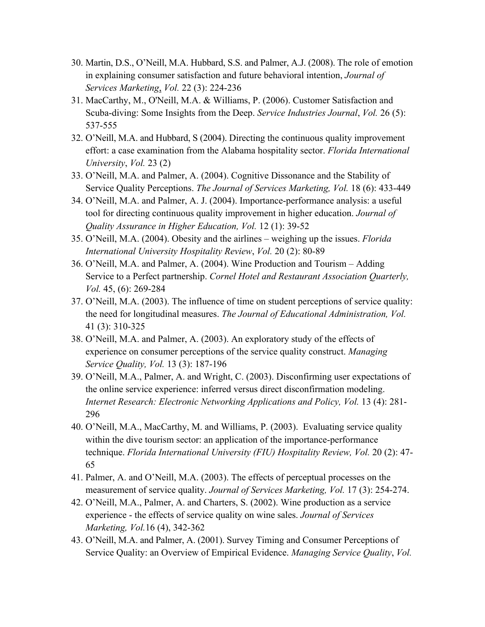- 30. Martin, D.S., O'Neill, M.A. Hubbard, S.S. and Palmer, A.J. (2008). The role of emotion in explaining consumer satisfaction and future behavioral intention, *Journal of Services Marketing*, *Vol.* 22 (3): 224-236
- 31. MacCarthy, M., O'Neill, M.A. & Williams, P. (2006). Customer Satisfaction and Scuba-diving: Some Insights from the Deep. *Service Industries Journal*, *Vol.* 26 (5): 537-555
- 32. O'Neill, M.A. and Hubbard, S (2004). Directing the continuous quality improvement effort: a case examination from the Alabama hospitality sector. *Florida International University*, *Vol.* 23 (2)
- 33. O'Neill, M.A. and Palmer, A. (2004). Cognitive Dissonance and the Stability of Service Quality Perceptions. *The Journal of Services Marketing, Vol.* 18 (6): 433-449
- 34. O'Neill, M.A. and Palmer, A. J. (2004). Importance-performance analysis: a useful tool for directing continuous quality improvement in higher education. *Journal of Quality Assurance in Higher Education, Vol.* 12 (1): 39-52
- 35. O'Neill, M.A. (2004). Obesity and the airlines weighing up the issues. *Florida International University Hospitality Review*, *Vol.* 20 (2): 80-89
- 36. O'Neill, M.A. and Palmer, A. (2004). Wine Production and Tourism Adding Service to a Perfect partnership. *Cornel Hotel and Restaurant Association Quarterly, Vol.* 45, (6): 269-284
- 37. O'Neill, M.A. (2003). The influence of time on student perceptions of service quality: the need for longitudinal measures. *The Journal of Educational Administration, Vol.* 41 (3): 310-325
- 38. O'Neill, M.A. and Palmer, A. (2003). An exploratory study of the effects of experience on consumer perceptions of the service quality construct. *Managing Service Quality, Vol.* 13 (3): 187-196
- 39. O'Neill, M.A., Palmer, A. and Wright, C. (2003). Disconfirming user expectations of the online service experience: inferred versus direct disconfirmation modeling. *Internet Research: Electronic Networking Applications and Policy, Vol.* 13 (4): 281- 296
- 40. O'Neill, M.A., MacCarthy, M. and Williams, P. (2003). Evaluating service quality within the dive tourism sector: an application of the importance-performance technique. *Florida International University (FIU) Hospitality Review, Vol.* 20 (2): 47- 65
- 41. Palmer, A. and O'Neill, M.A. (2003). The effects of perceptual processes on the measurement of service quality. *Journal of Services Marketing, Vol.* 17 (3): 254-274.
- 42. O'Neill, M.A., Palmer, A. and Charters, S. (2002). Wine production as a service experience - the effects of service quality on wine sales. *Journal of Services Marketing, Vol.*16 (4), 342-362
- 43. O'Neill, M.A. and Palmer, A. (2001). Survey Timing and Consumer Perceptions of Service Quality: an Overview of Empirical Evidence. *Managing Service Quality*, *Vol.*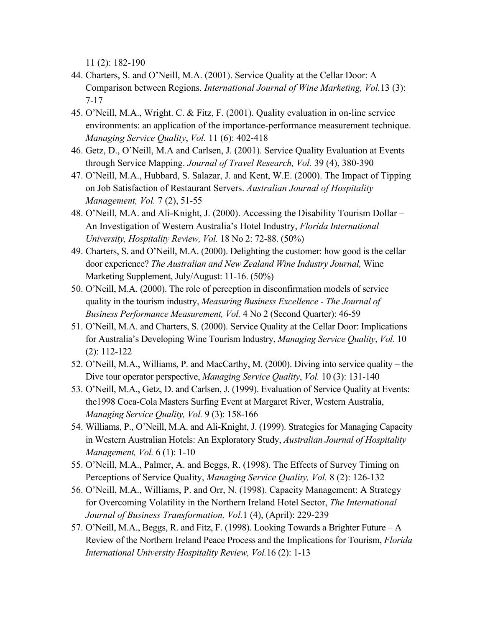11 (2): 182-190

- 44. Charters, S. and O'Neill, M.A. (2001). Service Quality at the Cellar Door: A Comparison between Regions. *International Journal of Wine Marketing, Vol.*13 (3): 7-17
- 45. O'Neill, M.A., Wright. C. & Fitz, F. (2001). Quality evaluation in on-line service environments: an application of the importance-performance measurement technique. *Managing Service Quality*, *Vol.* 11 (6): 402-418
- 46. Getz, D., O'Neill, M.A and Carlsen, J. (2001). Service Quality Evaluation at Events through Service Mapping. *Journal of Travel Research, Vol.* 39 (4), 380-390
- 47. O'Neill, M.A., Hubbard, S. Salazar, J. and Kent, W.E. (2000). The Impact of Tipping on Job Satisfaction of Restaurant Servers. *Australian Journal of Hospitality Management, Vol.* 7 (2), 51-55
- 48. O'Neill, M.A. and Ali-Knight, J. (2000). Accessing the Disability Tourism Dollar An Investigation of Western Australia's Hotel Industry, *Florida International University, Hospitality Review, Vol.* 18 No 2: 72-88. (50%)
- 49. Charters, S. and O'Neill, M.A. (2000). Delighting the customer: how good is the cellar door experience? *The Australian and New Zealand Wine Industry Journal,* Wine Marketing Supplement, July/August: 11-16. (50%)
- 50. O'Neill, M.A. (2000). The role of perception in disconfirmation models of service quality in the tourism industry, *Measuring Business Excellence* - *The Journal of Business Performance Measurement, Vol.* 4 No 2 (Second Quarter): 46-59
- 51. O'Neill, M.A. and Charters, S. (2000). Service Quality at the Cellar Door: Implications for Australia's Developing Wine Tourism Industry, *Managing Service Quality*, *Vol.* 10 (2): 112-122
- 52. O'Neill, M.A., Williams, P. and MacCarthy, M. (2000). Diving into service quality the Dive tour operator perspective, *Managing Service Quality*, *Vol.* 10 (3): 131-140
- 53. O'Neill, M.A., Getz, D. and Carlsen, J. (1999). Evaluation of Service Quality at Events: the1998 Coca-Cola Masters Surfing Event at Margaret River, Western Australia, *Managing Service Quality, Vol.* 9 (3): 158-166
- 54. Williams, P., O'Neill, M.A. and Ali-Knight, J. (1999). Strategies for Managing Capacity in Western Australian Hotels: An Exploratory Study, *Australian Journal of Hospitality Management, Vol.* 6 (1): 1-10
- 55. O'Neill, M.A., Palmer, A. and Beggs, R. (1998). The Effects of Survey Timing on Perceptions of Service Quality, *Managing Service Quality, Vol.* 8 (2): 126-132
- 56. O'Neill, M.A., Williams, P. and Orr, N. (1998). Capacity Management: A Strategy for Overcoming Volatility in the Northern Ireland Hotel Sector, *The International Journal of Business Transformation, Vol.*1 (4), (April): 229-239
- 57. O'Neill, M.A., Beggs, R. and Fitz, F. (1998). Looking Towards a Brighter Future A Review of the Northern Ireland Peace Process and the Implications for Tourism, *Florida International University Hospitality Review, Vol.*16 (2): 1-13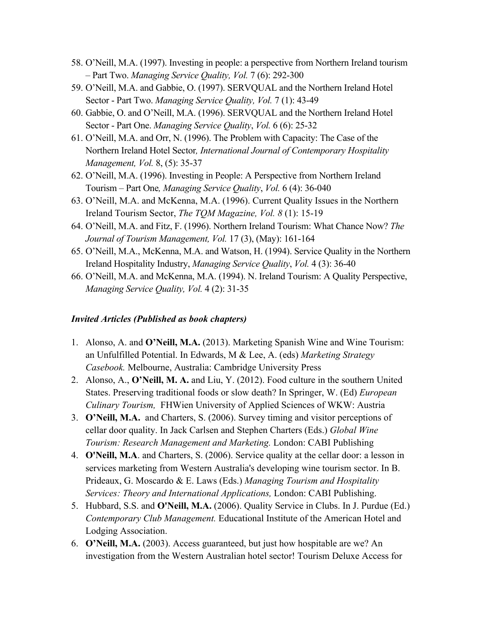- 58. O'Neill, M.A. (1997). Investing in people: a perspective from Northern Ireland tourism – Part Two. *Managing Service Quality, Vol.* 7 (6): 292-300
- 59. O'Neill, M.A. and Gabbie, O. (1997). SERVQUAL and the Northern Ireland Hotel Sector - Part Two. *Managing Service Quality, Vol.* 7 (1): 43-49
- 60. Gabbie, O. and O'Neill, M.A. (1996). SERVQUAL and the Northern Ireland Hotel Sector - Part One. *Managing Service Quality*, *Vol.* 6 (6): 25-32
- 61. O'Neill, M.A. and Orr, N. (1996). The Problem with Capacity: The Case of the Northern Ireland Hotel Sector*, International Journal of Contemporary Hospitality Management, Vol.* 8, (5): 35-37
- 62. O'Neill, M.A. (1996). Investing in People: A Perspective from Northern Ireland Tourism – Part One*, Managing Service Quality*, *Vol.* 6 (4): 36-040
- 63. O'Neill, M.A. and McKenna, M.A. (1996). Current Quality Issues in the Northern Ireland Tourism Sector, *The TQM Magazine, Vol. 8* (1): 15-19
- 64. O'Neill, M.A. and Fitz, F. (1996). Northern Ireland Tourism: What Chance Now? *The Journal of Tourism Management, Vol.* 17 (3), (May): 161-164
- 65. O'Neill, M.A., McKenna, M.A. and Watson, H. (1994). Service Quality in the Northern Ireland Hospitality Industry, *Managing Service Quality*, *Vol.* 4 (3): 36-40
- 66. O'Neill, M.A. and McKenna, M.A. (1994). N. Ireland Tourism: A Quality Perspective, *Managing Service Quality, Vol.* 4 (2): 31-35

#### *Invited Articles (Published as book chapters)*

- 1. Alonso, A. and **O'Neill, M.A.** (2013). Marketing Spanish Wine and Wine Tourism: an Unfulfilled Potential. In Edwards, M & Lee, A. (eds) *Marketing Strategy Casebook.* Melbourne, Australia: Cambridge University Press
- 2. Alonso, A., **O'Neill, M. A.** and Liu, Y. (2012). Food culture in the southern United States. Preserving traditional foods or slow death? In Springer, W. (Ed) *European Culinary Tourism,* FHWien University of Applied Sciences of WKW: Austria
- 3. **O'Neill, M.A.** and Charters, S. (2006). Survey timing and visitor perceptions of cellar door quality. In Jack Carlsen and Stephen Charters (Eds.) *Global Wine Tourism: Research Management and Marketing.* London: CABI Publishing
- 4. **O'Neill, M.A**. and Charters, S. (2006). Service quality at the cellar door: a lesson in services marketing from Western Australia's developing wine tourism sector. In B. Prideaux, G. Moscardo & E. Laws (Eds.) *Managing Tourism and Hospitality Services: Theory and International Applications,* London: CABI Publishing.
- 5. Hubbard, S.S. and **O'Neill, M.A.** (2006). Quality Service in Clubs. In J. Purdue (Ed.) *Contemporary Club Management.* Educational Institute of the American Hotel and Lodging Association.
- 6. **O'Neill, M.A.** (2003). Access guaranteed, but just how hospitable are we? An investigation from the Western Australian hotel sector! Tourism Deluxe Access for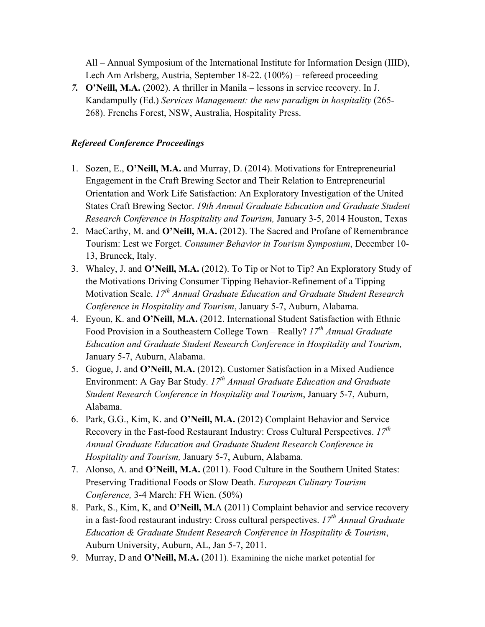All – Annual Symposium of the International Institute for Information Design (IIID), Lech Am Arlsberg, Austria, September 18-22. (100%) – refereed proceeding

*7.* **O'Neill, M.A.** (2002). A thriller in Manila – lessons in service recovery. In J. Kandampully (Ed.) *Services Management: the new paradigm in hospitality* (265- 268). Frenchs Forest, NSW, Australia, Hospitality Press.

### *Refereed Conference Proceedings*

- 1. Sozen, E., **O'Neill, M.A.** and Murray, D. (2014). Motivations for Entrepreneurial Engagement in the Craft Brewing Sector and Their Relation to Entrepreneurial Orientation and Work Life Satisfaction: An Exploratory Investigation of the United States Craft Brewing Sector. *19th Annual Graduate Education and Graduate Student Research Conference in Hospitality and Tourism,* January 3-5, 2014 Houston, Texas
- 2. MacCarthy, M. and **O'Neill, M.A.** (2012). The Sacred and Profane of Remembrance Tourism: Lest we Forget. *Consumer Behavior in Tourism Symposium*, December 10- 13, Bruneck, Italy.
- 3. Whaley, J. and **O'Neill, M.A.** (2012). To Tip or Not to Tip? An Exploratory Study of the Motivations Driving Consumer Tipping Behavior-Refinement of a Tipping Motivation Scale. *17th Annual Graduate Education and Graduate Student Research Conference in Hospitality and Tourism*, January 5-7, Auburn, Alabama.
- 4. Eyoun, K. and **O'Neill, M.A.** (2012. International Student Satisfaction with Ethnic Food Provision in a Southeastern College Town – Really? *17th Annual Graduate Education and Graduate Student Research Conference in Hospitality and Tourism,* January 5-7, Auburn, Alabama.
- 5. Gogue, J. and **O'Neill, M.A.** (2012). Customer Satisfaction in a Mixed Audience Environment: A Gay Bar Study. *17th Annual Graduate Education and Graduate Student Research Conference in Hospitality and Tourism*, January 5-7, Auburn, Alabama.
- 6. Park, G.G., Kim, K. and **O'Neill, M.A.** (2012) Complaint Behavior and Service Recovery in the Fast-food Restaurant Industry: Cross Cultural Perspectives. *17th Annual Graduate Education and Graduate Student Research Conference in Hospitality and Tourism,* January 5-7, Auburn, Alabama.
- 7. Alonso, A. and **O'Neill, M.A.** (2011). Food Culture in the Southern United States: Preserving Traditional Foods or Slow Death. *European Culinary Tourism Conference,* 3-4 March: FH Wien. (50%)
- 8. Park, S., Kim, K, and **O'Neill, M.**A (2011) Complaint behavior and service recovery in a fast-food restaurant industry: Cross cultural perspectives. *17th Annual Graduate Education & Graduate Student Research Conference in Hospitality & Tourism*, Auburn University, Auburn, AL, Jan 5-7, 2011.
- 9. Murray, D and **O'Neill, M.A.** (2011). Examining the niche market potential for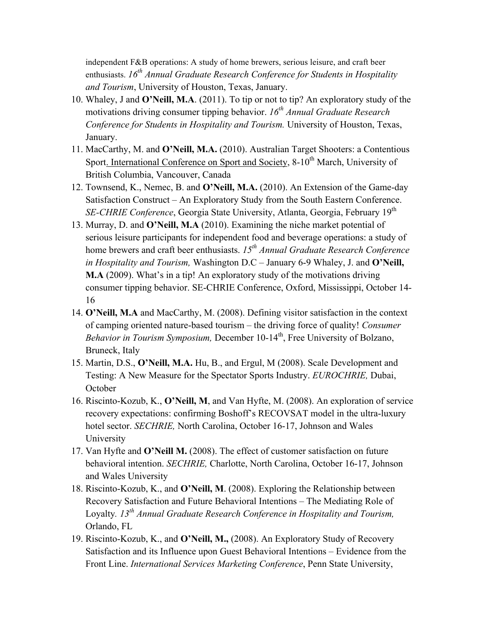independent F&B operations: A study of home brewers, serious leisure, and craft beer enthusiasts. *16th Annual Graduate Research Conference for Students in Hospitality and Tourism*, University of Houston, Texas, January.

- 10. Whaley, J and **O'Neill, M.A**. (2011). To tip or not to tip? An exploratory study of the motivations driving consumer tipping behavior. *16<sup>th</sup> Annual Graduate Research Conference for Students in Hospitality and Tourism.* University of Houston, Texas, January.
- 11. MacCarthy, M. and **O'Neill, M.A.** (2010). Australian Target Shooters: a Contentious Sport. International Conference on Sport and Society, 8-10<sup>th</sup> March, University of British Columbia, Vancouver, Canada
- 12. Townsend, K., Nemec, B. and **O'Neill, M.A.** (2010). An Extension of the Game-day Satisfaction Construct – An Exploratory Study from the South Eastern Conference. *SE-CHRIE Conference*, Georgia State University, Atlanta, Georgia, February 19<sup>th</sup>
- 13. Murray, D. and **O'Neill, M.A** (2010). Examining the niche market potential of serious leisure participants for independent food and beverage operations: a study of home brewers and craft beer enthusiasts. *15th Annual Graduate Research Conference in Hospitality and Tourism,* Washington D.C – January 6-9 Whaley, J. and **O'Neill, M.A** (2009). What's in a tip! An exploratory study of the motivations driving consumer tipping behavior. SE-CHRIE Conference, Oxford, Mississippi, October 14- 16
- 14. **O'Neill, M.A** and MacCarthy, M. (2008). Defining visitor satisfaction in the context of camping oriented nature-based tourism – the driving force of quality! *Consumer Behavior in Tourism Symposium, December 10-14<sup>th</sup>, Free University of Bolzano,* Bruneck, Italy
- 15. Martin, D.S., **O'Neill, M.A.** Hu, B., and Ergul, M (2008). Scale Development and Testing: A New Measure for the Spectator Sports Industry. *EUROCHRIE,* Dubai, **October**
- 16. Riscinto-Kozub, K., **O'Neill, M**, and Van Hyfte, M. (2008). An exploration of service recovery expectations: confirming Boshoff's RECOVSAT model in the ultra-luxury hotel sector. *SECHRIE,* North Carolina, October 16-17, Johnson and Wales University
- 17. Van Hyfte and **O'Neill M.** (2008). The effect of customer satisfaction on future behavioral intention. *SECHRIE,* Charlotte, North Carolina, October 16-17, Johnson and Wales University
- 18. Riscinto-Kozub, K., and **O'Neill, M**. (2008). Exploring the Relationship between Recovery Satisfaction and Future Behavioral Intentions – The Mediating Role of Loyalty*. 13th Annual Graduate Research Conference in Hospitality and Tourism,* Orlando, FL
- 19. Riscinto-Kozub, K., and **O'Neill, M.,** (2008). An Exploratory Study of Recovery Satisfaction and its Influence upon Guest Behavioral Intentions – Evidence from the Front Line. *International Services Marketing Conference*, Penn State University,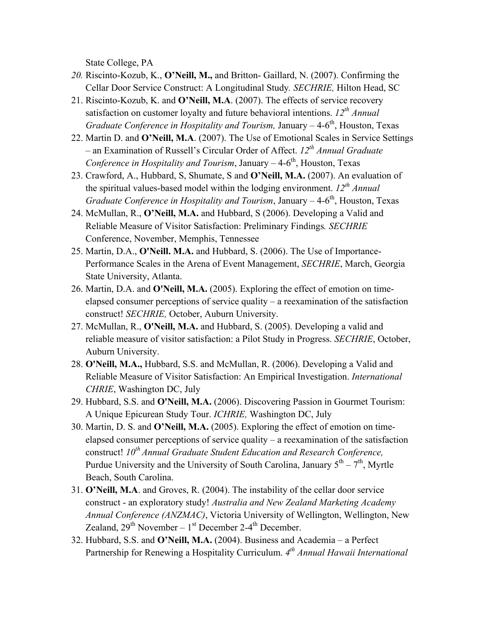State College, PA

- *20.* Riscinto-Kozub, K., **O'Neill, M.,** and Britton- Gaillard, N. (2007). Confirming the Cellar Door Service Construct: A Longitudinal Study*. SECHRIE,* Hilton Head, SC
- 21. Riscinto-Kozub, K. and **O'Neill, M.A**. (2007). The effects of service recovery satisfaction on customer loyalty and future behavioral intentions. *12th Annual Graduate Conference in Hospitality and Tourism, January – 4-6<sup>th</sup>, Houston, Texas*
- 22. Martin D. and **O'Neill, M.A**. (2007). The Use of Emotional Scales in Service Settings – an Examination of Russell's Circular Order of Affect. *12th Annual Graduate Conference in Hospitality and Tourism*, January  $-4.6<sup>th</sup>$ , Houston, Texas
- 23. Crawford, A., Hubbard, S, Shumate, S and **O'Neill, M.A.** (2007). An evaluation of the spiritual values-based model within the lodging environment. *12th Annual Graduate Conference in Hospitality and Tourism, January – 4-6<sup>th</sup>, Houston, Texas*
- 24. McMullan, R., **O'Neill, M.A.** and Hubbard, S (2006). Developing a Valid and Reliable Measure of Visitor Satisfaction: Preliminary Findings*. SECHRIE* Conference, November, Memphis, Tennessee
- 25. Martin, D.A., **O'Neill. M.A.** and Hubbard, S. (2006). The Use of Importance-Performance Scales in the Arena of Event Management, *SECHRIE*, March, Georgia State University, Atlanta.
- 26. Martin, D.A. and **O'Neill, M.A.** (2005). Exploring the effect of emotion on timeelapsed consumer perceptions of service quality – a reexamination of the satisfaction construct! *SECHRIE,* October, Auburn University.
- 27. McMullan, R., **O'Neill, M.A.** and Hubbard, S. (2005). Developing a valid and reliable measure of visitor satisfaction: a Pilot Study in Progress. *SECHRIE*, October, Auburn University.
- 28. **O'Neill, M.A.,** Hubbard, S.S. and McMullan, R. (2006). Developing a Valid and Reliable Measure of Visitor Satisfaction: An Empirical Investigation. *International CHRIE*, Washington DC, July
- 29. Hubbard, S.S. and **O'Neill, M.A.** (2006). Discovering Passion in Gourmet Tourism: A Unique Epicurean Study Tour. *ICHRIE,* Washington DC, July
- 30. Martin, D. S. and **O'Neill, M.A.** (2005). Exploring the effect of emotion on timeelapsed consumer perceptions of service quality – a reexamination of the satisfaction construct! *10<sup>th</sup> Annual Graduate Student Education and Research Conference,* Purdue University and the University of South Carolina, January  $5<sup>th</sup> - 7<sup>th</sup>$ , Myrtle Beach, South Carolina.
- 31. **O'Neill, M.A**. and Groves, R. (2004). The instability of the cellar door service construct - an exploratory study! *Australia and New Zealand Marketing Academy Annual Conference (ANZMAC)*, Victoria University of Wellington, Wellington, New Zealand,  $29<sup>th</sup>$  November –  $1<sup>st</sup>$  December 2-4<sup>th</sup> December.
- 32. Hubbard, S.S. and **O'Neill, M.A.** (2004). Business and Academia a Perfect Partnership for Renewing a Hospitality Curriculum. *4th Annual Hawaii International*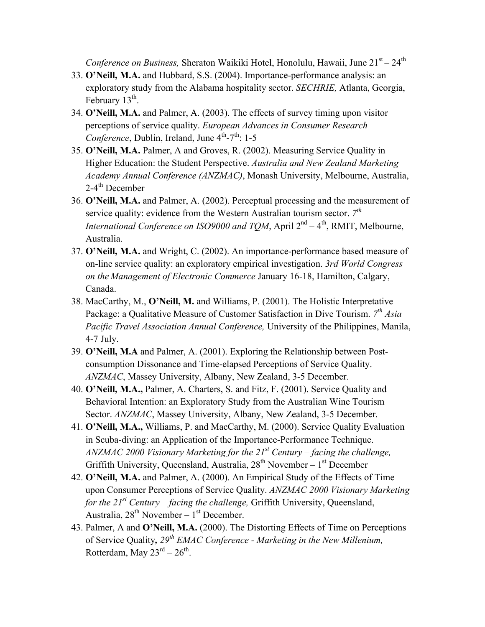*Conference on Business, Sheraton Waikiki Hotel, Honolulu, Hawaii, June 21<sup>st</sup> – 24<sup>th</sup>* 

- 33. **O'Neill, M.A.** and Hubbard, S.S. (2004). Importance-performance analysis: an exploratory study from the Alabama hospitality sector. *SECHRIE,* Atlanta, Georgia, February  $13<sup>th</sup>$ .
- 34. **O'Neill, M.A.** and Palmer, A. (2003). The effects of survey timing upon visitor perceptions of service quality. *European Advances in Consumer Research Conference*, Dublin, Ireland, June  $4^{th}$ -7<sup>th</sup>: 1-5
- 35. **O'Neill, M.A.** Palmer, A and Groves, R. (2002). Measuring Service Quality in Higher Education: the Student Perspective. *Australia and New Zealand Marketing Academy Annual Conference (ANZMAC)*, Monash University, Melbourne, Australia,  $2-4$ <sup>th</sup> December
- 36. **O'Neill, M.A.** and Palmer, A. (2002). Perceptual processing and the measurement of service quality: evidence from the Western Australian tourism sector. *7th International Conference on ISO9000 and TOM*, April  $2^{nd} - 4^{th}$ , RMIT, Melbourne, Australia.
- 37. **O'Neill, M.A.** and Wright, C. (2002). An importance-performance based measure of on-line service quality: an exploratory empirical investigation. *3rd World Congress on the Management of Electronic Commerce* January 16-18, Hamilton, Calgary, Canada.
- 38. MacCarthy, M., **O'Neill, M.** and Williams, P. (2001). The Holistic Interpretative Package: a Qualitative Measure of Customer Satisfaction in Dive Tourism. *7th Asia Pacific Travel Association Annual Conference,* University of the Philippines, Manila, 4-7 July.
- 39. **O'Neill, M.A** and Palmer, A. (2001). Exploring the Relationship between Postconsumption Dissonance and Time-elapsed Perceptions of Service Quality. *ANZMAC*, Massey University, Albany, New Zealand, 3-5 December.
- 40. **O'Neill, M.A.,** Palmer, A. Charters, S. and Fitz, F. (2001). Service Quality and Behavioral Intention: an Exploratory Study from the Australian Wine Tourism Sector. *ANZMAC*, Massey University, Albany, New Zealand, 3-5 December.
- 41. **O'Neill, M.A.,** Williams, P. and MacCarthy, M. (2000). Service Quality Evaluation in Scuba-diving: an Application of the Importance-Performance Technique. *ANZMAC 2000 Visionary Marketing for the 21st Century – facing the challenge,*  Griffith University, Queensland, Australia, 28<sup>th</sup> November – 1<sup>st</sup> December
- 42. **O'Neill, M.A.** and Palmer, A. (2000). An Empirical Study of the Effects of Time upon Consumer Perceptions of Service Quality. *ANZMAC 2000 Visionary Marketing for the 21st Century – facing the challenge,* Griffith University, Queensland, Australia,  $28^{th}$  November –  $1^{st}$  December.
- 43. Palmer, A and **O'Neill, M.A.** (2000). The Distorting Effects of Time on Perceptions of Service Quality*, 29th EMAC Conference - Marketing in the New Millenium,* Rotterdam, May  $23^{\text{rd}} - 26^{\text{th}}$ .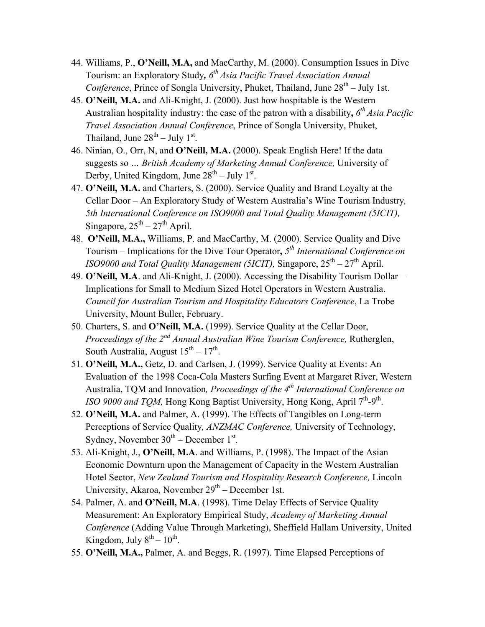- 44. Williams, P., **O'Neill, M.A,** and MacCarthy, M. (2000). Consumption Issues in Dive Tourism: an Exploratory Study,  $6<sup>th</sup> Asia Pacific Travel Association Annual$ *Conference*, Prince of Songla University, Phuket, Thailand, June  $28<sup>th</sup> - July 1st$ .
- 45. **O'Neill, M.A.** and Ali-Knight, J. (2000). Just how hospitable is the Western Australian hospitality industry: the case of the patron with a disability**,** *6th Asia Pacific Travel Association Annual Conference*, Prince of Songla University, Phuket, Thailand, June  $28<sup>th</sup> - July 1<sup>st</sup>$ .
- 46. Ninian, O., Orr, N, and **O'Neill, M.A.** (2000). Speak English Here! If the data suggests so *… British Academy of Marketing Annual Conference,* University of Derby, United Kingdom, June  $28<sup>th</sup> - July 1<sup>st</sup>$ .
- 47. **O'Neill, M.A.** and Charters, S. (2000). Service Quality and Brand Loyalty at the Cellar Door – An Exploratory Study of Western Australia's Wine Tourism Industry*, 5th International Conference on ISO9000 and Total Quality Management (5ICIT),* Singapore,  $25^{th} - 27^{th}$  April.
- 48. **O'Neill, M.A.,** Williams, P. and MacCarthy, M. (2000). Service Quality and Dive Tourism – Implications for the Dive Tour Operator**,** *5th International Conference on ISO9000 and Total Quality Management (5ICIT), Singapore,*  $25<sup>th</sup> - 27<sup>th</sup>$  April.
- 49. **O'Neill, M.A**. and Ali-Knight, J. (2000). Accessing the Disability Tourism Dollar Implications for Small to Medium Sized Hotel Operators in Western Australia. *Council for Australian Tourism and Hospitality Educators Conference*, La Trobe University, Mount Buller, February.
- 50. Charters, S. and **O'Neill, M.A.** (1999). Service Quality at the Cellar Door, *Proceedings of the 2nd Annual Australian Wine Tourism Conference,* Rutherglen, South Australia, August  $15^{th} - 17^{th}$ .
- 51. **O'Neill, M.A.,** Getz, D. and Carlsen, J. (1999). Service Quality at Events: An Evaluation of the 1998 Coca-Cola Masters Surfing Event at Margaret River, Western Australia, TQM and Innovation*, Proceedings of the 4th International Conference on ISO 9000 and TQM*, Hong Kong Baptist University, Hong Kong, April  $7<sup>th</sup>$ -9<sup>th</sup>.
- 52. **O'Neill, M.A.** and Palmer, A. (1999). The Effects of Tangibles on Long-term Perceptions of Service Quality*, ANZMAC Conference,* University of Technology, Sydney, November  $30<sup>th</sup>$  – December  $1<sup>st</sup>$ .
- 53. Ali-Knight, J., **O'Neill, M.A**. and Williams, P. (1998). The Impact of the Asian Economic Downturn upon the Management of Capacity in the Western Australian Hotel Sector, *New Zealand Tourism and Hospitality Research Conference,* Lincoln University, Akaroa, November  $29<sup>th</sup>$  – December 1st.
- 54. Palmer, A. and **O'Neill, M.A**. (1998). Time Delay Effects of Service Quality Measurement: An Exploratory Empirical Study, *Academy of Marketing Annual Conference* (Adding Value Through Marketing), Sheffield Hallam University, United Kingdom, July  $8^{th} - 10^{th}$ .
- 55. **O'Neill, M.A.,** Palmer, A. and Beggs, R. (1997). Time Elapsed Perceptions of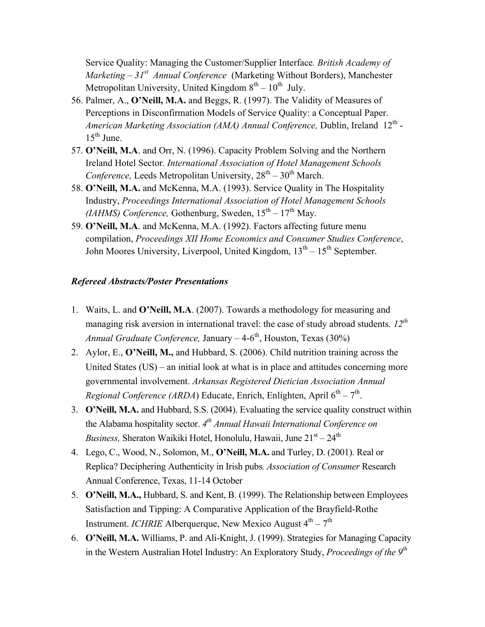Service Quality: Managing the Customer/Supplier Interface*. British Academy of Marketing – 31st Annual Conference* (Marketing Without Borders), Manchester Metropolitan University, United Kingdom  $8<sup>th</sup> - 10<sup>th</sup>$  July.

- 56. Palmer, A., **O'Neill, M.A.** and Beggs, R. (1997). The Validity of Measures of Perceptions in Disconfirmation Models of Service Quality: a Conceptual Paper. *American Marketing Association (AMA) Annual Conference, Dublin, Ireland 12<sup>th</sup> -* $15^{th}$  June.
- 57. **O'Neill, M.A**. and Orr, N. (1996). Capacity Problem Solving and the Northern Ireland Hotel Sector*. International Association of Hotel Management Schools Conference,* Leeds Metropolitan University,  $28<sup>th</sup> - 30<sup>th</sup>$  March.
- 58. **O'Neill, M.A.** and McKenna, M.A. (1993). Service Quality in The Hospitality Industry, *Proceedings International Association of Hotel Management Schools (IAHMS) Conference, Gothenburg, Sweden,*  $15^{th} - 17^{th}$  May.
- 59. **O'Neill, M.A**. and McKenna, M.A. (1992). Factors affecting future menu compilation, *Proceedings XII Home Economics and Consumer Studies Conference*, John Moores University, Liverpool, United Kingdom,  $13<sup>th</sup> - 15<sup>th</sup>$  September.

#### *Refereed Abstracts/Poster Presentations*

- 1. Waits, L. and **O'Neill, M.A**. (2007). Towards a methodology for measuring and managing risk aversion in international travel: the case of study abroad students. *12th Annual Graduate Conference, January – 4-6<sup>th</sup>, Houston, Texas (30%)*
- 2. Aylor, E., **O'Neill, M.,** and Hubbard, S. (2006). Child nutrition training across the United States (US) – an initial look at what is in place and attitudes concerning more governmental involvement. *Arkansas Registered Dietician Association Annual Regional Conference (ARDA)* Educate, Enrich, Enlighten, April  $6^{th} - 7^{th}$ .
- 3. **O'Neill, M.A.** and Hubbard, S.S. (2004). Evaluating the service quality construct within the Alabama hospitality sector. *4th Annual Hawaii International Conference on Business,* Sheraton Waikiki Hotel, Honolulu, Hawaii, June  $21<sup>st</sup> - 24<sup>th</sup>$
- 4. Lego, C., Wood, N., Solomon, M., **O'Neill, M.A.** and Turley, D. (2001). Real or Replica? Deciphering Authenticity in Irish pubs*. Association of Consumer* Research Annual Conference, Texas, 11-14 October
- 5. **O'Neill, M.A.,** Hubbard, S. and Kent, B. (1999). The Relationship between Employees Satisfaction and Tipping: A Comparative Application of the Brayfield-Rothe Instrument. *ICHRIE* Alberguerque, New Mexico August  $4<sup>th</sup> - 7<sup>th</sup>$
- 6. **O'Neill, M.A.** Williams, P. and Ali-Knight, J. (1999). Strategies for Managing Capacity in the Western Australian Hotel Industry: An Exploratory Study, *Proceedings of the 9th*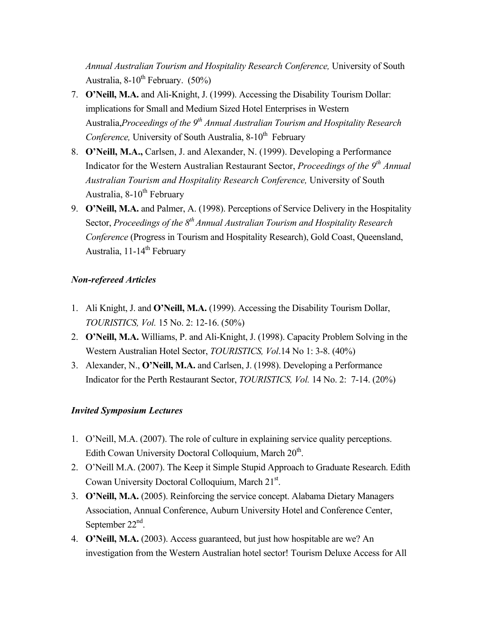*Annual Australian Tourism and Hospitality Research Conference,* University of South Australia,  $8-10^{th}$  February. (50%)

- 7. **O'Neill, M.A.** and Ali-Knight, J. (1999). Accessing the Disability Tourism Dollar: implications for Small and Medium Sized Hotel Enterprises in Western Australia,*Proceedings of the 9<sup>th</sup> Annual Australian Tourism and Hospitality Research Conference*, University of South Australia, 8-10<sup>th</sup> February
- 8. **O'Neill, M.A.,** Carlsen, J. and Alexander, N. (1999). Developing a Performance Indicator for the Western Australian Restaurant Sector, *Proceedings of the 9th Annual Australian Tourism and Hospitality Research Conference,* University of South Australia,  $8-10^{th}$  February
- 9. **O'Neill, M.A.** and Palmer, A. (1998). Perceptions of Service Delivery in the Hospitality Sector, *Proceedings of the 8<sup>th</sup> Annual Australian Tourism and Hospitality Research Conference* (Progress in Tourism and Hospitality Research), Gold Coast, Queensland, Australia,  $11-14^{\text{th}}$  February

### *Non-refereed Articles*

- 1. Ali Knight, J. and **O'Neill, M.A.** (1999). Accessing the Disability Tourism Dollar, *TOURISTICS, Vol.* 15 No. 2: 12-16. (50%)
- 2. **O'Neill, M.A.** Williams, P. and Ali-Knight, J. (1998). Capacity Problem Solving in the Western Australian Hotel Sector, *TOURISTICS, Vol*.14 No 1: 3-8. (40%)
- 3. Alexander, N., **O'Neill, M.A.** and Carlsen, J. (1998). Developing a Performance Indicator for the Perth Restaurant Sector, *TOURISTICS, Vol.* 14 No. 2: 7-14. (20%)

### *Invited Symposium Lectures*

- 1. O'Neill, M.A. (2007). The role of culture in explaining service quality perceptions. Edith Cowan University Doctoral Colloquium, March 20<sup>th</sup>.
- 2. O'Neill M.A. (2007). The Keep it Simple Stupid Approach to Graduate Research. Edith Cowan University Doctoral Colloquium, March 21st.
- 3. **O'Neill, M.A.** (2005). Reinforcing the service concept. Alabama Dietary Managers Association, Annual Conference, Auburn University Hotel and Conference Center, September 22<sup>nd</sup>.
- 4. **O'Neill, M.A.** (2003). Access guaranteed, but just how hospitable are we? An investigation from the Western Australian hotel sector! Tourism Deluxe Access for All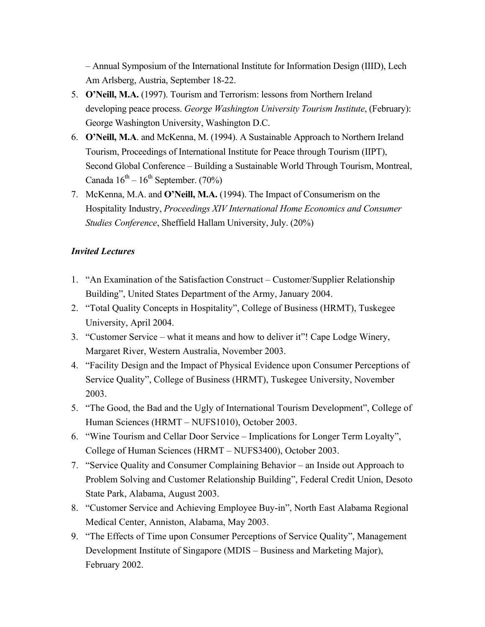– Annual Symposium of the International Institute for Information Design (IIID), Lech Am Arlsberg, Austria, September 18-22.

- 5. **O'Neill, M.A.** (1997). Tourism and Terrorism: lessons from Northern Ireland developing peace process. *George Washington University Tourism Institute*, (February): George Washington University, Washington D.C.
- 6. **O'Neill, M.A**. and McKenna, M. (1994). A Sustainable Approach to Northern Ireland Tourism, Proceedings of International Institute for Peace through Tourism (IIPT), Second Global Conference – Building a Sustainable World Through Tourism, Montreal, Canada  $16^{th} - 16^{th}$  September. (70%)
- 7. McKenna, M.A. and **O'Neill, M.A.** (1994). The Impact of Consumerism on the Hospitality Industry, *Proceedings XIV International Home Economics and Consumer Studies Conference*, Sheffield Hallam University, July. (20%)

### *Invited Lectures*

- 1. "An Examination of the Satisfaction Construct Customer/Supplier Relationship Building", United States Department of the Army, January 2004.
- 2. "Total Quality Concepts in Hospitality", College of Business (HRMT), Tuskegee University, April 2004.
- 3. "Customer Service what it means and how to deliver it"! Cape Lodge Winery, Margaret River, Western Australia, November 2003.
- 4. "Facility Design and the Impact of Physical Evidence upon Consumer Perceptions of Service Quality", College of Business (HRMT), Tuskegee University, November 2003.
- 5. "The Good, the Bad and the Ugly of International Tourism Development", College of Human Sciences (HRMT – NUFS1010), October 2003.
- 6. "Wine Tourism and Cellar Door Service Implications for Longer Term Loyalty", College of Human Sciences (HRMT – NUFS3400), October 2003.
- 7. "Service Quality and Consumer Complaining Behavior an Inside out Approach to Problem Solving and Customer Relationship Building", Federal Credit Union, Desoto State Park, Alabama, August 2003.
- 8. "Customer Service and Achieving Employee Buy-in", North East Alabama Regional Medical Center, Anniston, Alabama, May 2003.
- 9. "The Effects of Time upon Consumer Perceptions of Service Quality", Management Development Institute of Singapore (MDIS – Business and Marketing Major), February 2002.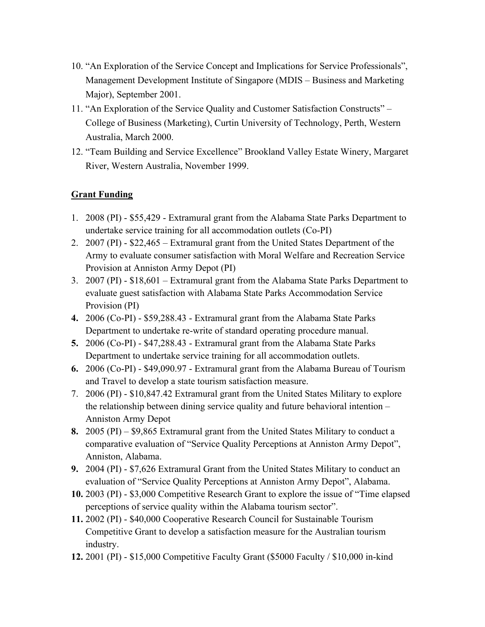- 10. "An Exploration of the Service Concept and Implications for Service Professionals", Management Development Institute of Singapore (MDIS – Business and Marketing Major), September 2001.
- 11. "An Exploration of the Service Quality and Customer Satisfaction Constructs" College of Business (Marketing), Curtin University of Technology, Perth, Western Australia, March 2000.
- 12. "Team Building and Service Excellence" Brookland Valley Estate Winery, Margaret River, Western Australia, November 1999.

## **Grant Funding**

- 1. 2008 (PI) \$55,429 Extramural grant from the Alabama State Parks Department to undertake service training for all accommodation outlets (Co-PI)
- 2. 2007 (PI) \$22,465 Extramural grant from the United States Department of the Army to evaluate consumer satisfaction with Moral Welfare and Recreation Service Provision at Anniston Army Depot (PI)
- 3. 2007 (PI) \$18,601 Extramural grant from the Alabama State Parks Department to evaluate guest satisfaction with Alabama State Parks Accommodation Service Provision (PI)
- **4.** 2006 (Co-PI) \$59,288.43 Extramural grant from the Alabama State Parks Department to undertake re-write of standard operating procedure manual.
- **5.** 2006 (Co-PI) \$47,288.43 Extramural grant from the Alabama State Parks Department to undertake service training for all accommodation outlets.
- **6.** 2006 (Co-PI) \$49,090.97 Extramural grant from the Alabama Bureau of Tourism and Travel to develop a state tourism satisfaction measure.
- 7. 2006 (PI) \$10,847.42 Extramural grant from the United States Military to explore the relationship between dining service quality and future behavioral intention – Anniston Army Depot
- **8.** 2005 (PI) \$9,865 Extramural grant from the United States Military to conduct a comparative evaluation of "Service Quality Perceptions at Anniston Army Depot", Anniston, Alabama.
- **9.** 2004 (PI) \$7,626 Extramural Grant from the United States Military to conduct an evaluation of "Service Quality Perceptions at Anniston Army Depot", Alabama.
- **10.** 2003 (PI) \$3,000 Competitive Research Grant to explore the issue of "Time elapsed perceptions of service quality within the Alabama tourism sector".
- **11.** 2002 (PI) \$40,000 Cooperative Research Council for Sustainable Tourism Competitive Grant to develop a satisfaction measure for the Australian tourism industry.
- **12.** 2001 (PI) \$15,000 Competitive Faculty Grant (\$5000 Faculty / \$10,000 in-kind